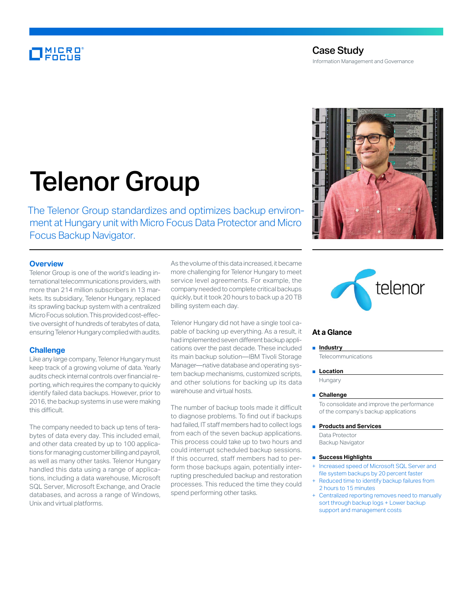# MICRO<br>Encus

# Telenor Group

The Telenor Group standardizes and optimizes backup environment at Hungary unit with Micro Focus Data Protector and Micro Focus Backup Navigator.

# **Overview**

Telenor Group is one of the world's leading international telecommunications providers, with more than 214 million subscribers in 13 markets. Its subsidiary, Telenor Hungary, replaced its sprawling backup system with a centralized Micro Focus solution. This provided cost-effective oversight of hundreds of terabytes of data, ensuring Telenor Hungary complied with audits.

# **Challenge**

Like any large company, Telenor Hungary must keep track of a growing volume of data. Yearly audits check internal controls over financial reporting, which requires the company to quickly identify failed data backups. However, prior to 2016, the backup systems in use were making this difficult.

The company needed to back up tens of terabytes of data every day. This included email, and other data created by up to 100 applications for managing customer billing and payroll, as well as many other tasks. Telenor Hungary handled this data using a range of applications, including a data warehouse, Microsoft SQL Server, Microsoft Exchange, and Oracle databases, and across a range of Windows, Unix and virtual platforms.

As the volume of this data increased, it became more challenging for Telenor Hungary to meet service level agreements. For example, the company needed to complete critical backups quickly, but it took 20 hours to back up a 20 TB billing system each day.

Telenor Hungary did not have a single tool capable of backing up everything. As a result, it had implemented seven different backup applications over the past decade. These included its main backup solution—IBM Tivoli Storage Manager—native database and operating system backup mechanisms, customized scripts, and other solutions for backing up its data warehouse and virtual hosts.

The number of backup tools made it difficult to diagnose problems. To find out if backups had failed, IT staff members had to collect logs from each of the seven backup applications. This process could take up to two hours and could interrupt scheduled backup sessions. If this occurred, staff members had to perform those backups again, potentially interrupting prescheduled backup and restoration processes. This reduced the time they could spend performing other tasks.





# **At a Glance**

#### ■ **Industry**

**Telecommunications** 

■ **Location** 

Hungary

■ **Challenge**

To consolidate and improve the performance of the company's backup applications

■ **Products and Services** 

Data Protector Backup Navigator

#### ■ **Success Highlights**

- Increased speed of Microsoft SQL Server and file system backups by 20 percent faster
- Reduced time to identify backup failures from 2 hours to 15 minutes
- Centralized reporting removes need to manually sort through backup logs + Lower backup support and management costs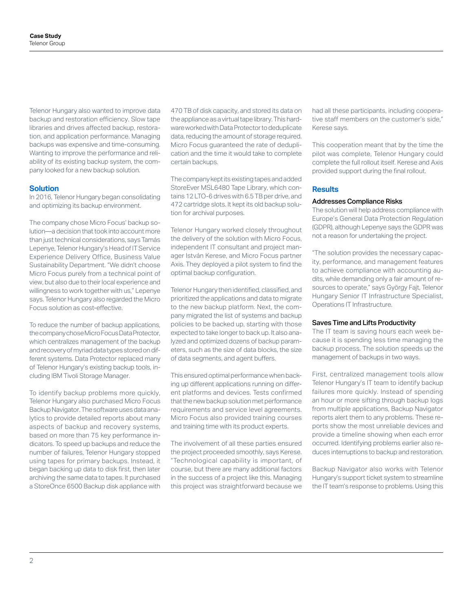Telenor Hungary also wanted to improve data backup and restoration efficiency. Slow tape libraries and drives affected backup, restoration, and application performance. Managing backups was expensive and time-consuming. Wanting to improve the performance and reliability of its existing backup system, the company looked for a new backup solution.

# **Solution**

In 2016, Telenor Hungary began consolidating and optimizing its backup environment.

The company chose Micro Focus' backup solution—a decision that took into account more than just technical considerations, says Tamás Lepenye, Telenor Hungary's Head of IT Service Experience Delivery Office, Business Value Sustainability Department. "We didn't choose Micro Focus purely from a technical point of view, but also due to their local experience and willingness to work together with us," Lepenye says. Telenor Hungary also regarded the Micro Focus solution as cost-effective.

To reduce the number of backup applications, the company chose Micro Focus Data Protector, which centralizes management of the backup and recovery of myriad data types stored on different systems. Data Protector replaced many of Telenor Hungary's existing backup tools, including IBM Tivoli Storage Manager.

To identify backup problems more quickly, Telenor Hungary also purchased Micro Focus Backup Navigator. The software uses data analytics to provide detailed reports about many aspects of backup and recovery systems, based on more than 75 key performance indicators. To speed up backups and reduce the number of failures, Telenor Hungary stopped using tapes for primary backups. Instead, it began backing up data to disk first, then later archiving the same data to tapes. It purchased a StoreOnce 6500 Backup disk appliance with

470 TB of disk capacity, and stored its data on the appliance as a virtual tape library. This hardware worked with Data Protector to deduplicate data, reducing the amount of storage required. Micro Focus guaranteed the rate of deduplication and the time it would take to complete certain backups.

The company kept its existing tapes and added StoreEver MSL6480 Tape Library, which contains 12 LTO-6 drives with 6.5 TB per drive, and 472 cartridge slots. It kept its old backup solution for archival purposes.

Telenor Hungary worked closely throughout the delivery of the solution with Micro Focus, independent IT consultant and project manager István Kerese, and Micro Focus partner Axis. They deployed a pilot system to find the optimal backup configuration.

Telenor Hungary then identified, classified, and prioritized the applications and data to migrate to the new backup platform. Next, the company migrated the list of systems and backup policies to be backed up, starting with those expected to take longer to back up. It also analyzed and optimized dozens of backup parameters, such as the size of data blocks, the size of data segments, and agent buffers.

This ensured optimal performance when backing up different applications running on different platforms and devices. Tests confirmed that the new backup solution met performance requirements and service level agreements. Micro Focus also provided training courses and training time with its product experts.

The involvement of all these parties ensured the project proceeded smoothly, says Kerese. "Technological capability is important, of course, but there are many additional factors in the success of a project like this. Managing this project was straightforward because we

had all these participants, including cooperative staff members on the customer's side," Kerese says.

This cooperation meant that by the time the pilot was complete, Telenor Hungary could complete the full rollout itself. Kerese and Axis provided support during the final rollout.

#### **Results**

#### Addresses Compliance Risks

The solution will help address compliance with Europe's General Data Protection Regulation (GDPR), although Lepenye says the GDPR was not a reason for undertaking the project.

"The solution provides the necessary capacity, performance, and management features to achieve compliance with accounting audits, while demanding only a fair amount of resources to operate," says György Fajt, Telenor Hungary Senior IT Infrastructure Specialist, Operations IT Infrastructure.

# Saves Time and Lifts Productivity

The IT team is saving hours each week because it is spending less time managing the backup process. The solution speeds up the management of backups in two ways.

First, centralized management tools allow Telenor Hungary's IT team to identify backup failures more quickly. Instead of spending an hour or more sifting through backup logs from multiple applications, Backup Navigator reports alert them to any problems. These reports show the most unreliable devices and provide a timeline showing when each error occurred. Identifying problems earlier also reduces interruptions to backup and restoration.

Backup Navigator also works with Telenor Hungary's support ticket system to streamline the IT team's response to problems. Using this